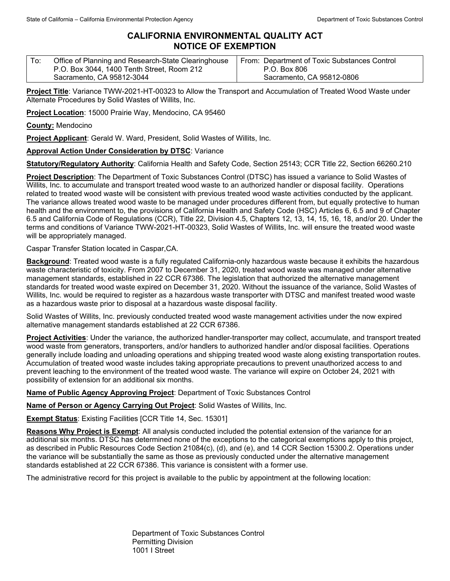## **CALIFORNIA ENVIRONMENTAL QUALITY ACT NOTICE OF EXEMPTION**

| $\mathsf{T}$ o: | Office of Planning and Research-State Clearinghouse | From: Department of Toxic Substances Control |
|-----------------|-----------------------------------------------------|----------------------------------------------|
|                 | P.O. Box 3044, 1400 Tenth Street, Room 212          | P.O. Box 806                                 |
|                 | Sacramento, CA 95812-3044                           | Sacramento, CA 95812-0806                    |

**Project Title**: Variance TWW-2021-HT-00323 to Allow the Transport and Accumulation of Treated Wood Waste under Alternate Procedures by Solid Wastes of Willits, Inc.

**Project Location**: 15000 Prairie Way, Mendocino, CA 95460

**County:** Mendocino

**Project Applicant**: Gerald W. Ward, President, Solid Wastes of Willits, Inc.

## **Approval Action Under Consideration by DTSC**: Variance

**Statutory/Regulatory Authority**: California Health and Safety Code, Section 25143; CCR Title 22, Section 66260.210

**Project Description**: The Department of Toxic Substances Control (DTSC) has issued a variance to Solid Wastes of Willits, Inc. to accumulate and transport treated wood waste to an authorized handler or disposal facility. Operations related to treated wood waste will be consistent with previous treated wood waste activities conducted by the applicant. The variance allows treated wood waste to be managed under procedures different from, but equally protective to human health and the environment to, the provisions of California Health and Safety Code (HSC) Articles 6, 6.5 and 9 of Chapter 6.5 and California Code of Regulations (CCR), Title 22, Division 4.5, Chapters 12, 13, 14, 15, 16, 18, and/or 20. Under the terms and conditions of Variance TWW-2021-HT-00323, Solid Wastes of Willits, Inc. will ensure the treated wood waste will be appropriately managed.

Caspar Transfer Station located in Caspar,CA.

**Background**: Treated wood waste is a fully regulated California-only hazardous waste because it exhibits the hazardous waste characteristic of toxicity. From 2007 to December 31, 2020, treated wood waste was managed under alternative management standards, established in 22 CCR 67386. The legislation that authorized the alternative management standards for treated wood waste expired on December 31, 2020. Without the issuance of the variance, Solid Wastes of Willits, Inc. would be required to register as a hazardous waste transporter with DTSC and manifest treated wood waste as a hazardous waste prior to disposal at a hazardous waste disposal facility.

Solid Wastes of Willits, Inc. previously conducted treated wood waste management activities under the now expired alternative management standards established at 22 CCR 67386.

**Project Activities**: Under the variance, the authorized handler-transporter may collect, accumulate, and transport treated wood waste from generators, transporters, and/or handlers to authorized handler and/or disposal facilities. Operations generally include loading and unloading operations and shipping treated wood waste along existing transportation routes. Accumulation of treated wood waste includes taking appropriate precautions to prevent unauthorized access to and prevent leaching to the environment of the treated wood waste. The variance will expire on October 24, 2021 with possibility of extension for an additional six months.

**Name of Public Agency Approving Project**: Department of Toxic Substances Control

**Name of Person or Agency Carrying Out Project**: Solid Wastes of Willits, Inc.

**Exempt Status**: Existing Facilities [CCR Title 14, Sec. 15301]

**Reasons Why Project is Exempt**: All analysis conducted included the potential extension of the variance for an additional six months. DTSC has determined none of the exceptions to the categorical exemptions apply to this project, as described in Public Resources Code Section 21084(c), (d), and (e), and 14 CCR Section 15300.2. Operations under the variance will be substantially the same as those as previously conducted under the alternative management standards established at 22 CCR 67386. This variance is consistent with a former use.

The administrative record for this project is available to the public by appointment at the following location:

Department of Toxic Substances Control Permitting Division 1001 I Street